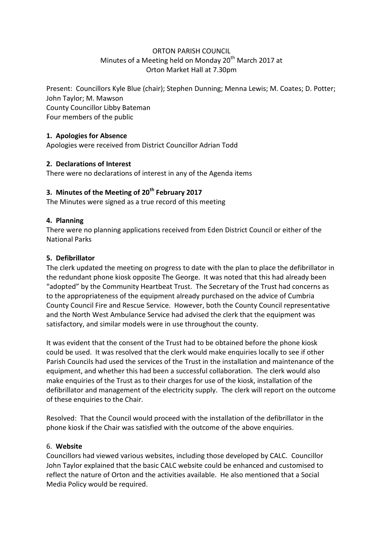## ORTON PARISH COUNCIL Minutes of a Meeting held on Monday 20<sup>th</sup> March 2017 at Orton Market Hall at 7.30pm

Present: Councillors Kyle Blue (chair); Stephen Dunning; Menna Lewis; M. Coates; D. Potter; John Taylor; M. Mawson County Councillor Libby Bateman Four members of the public

# **1. Apologies for Absence**

Apologies were received from District Councillor Adrian Todd

## **2. Declarations of Interest**

There were no declarations of interest in any of the Agenda items

# **3. Minutes of the Meeting of 20th February 2017**

The Minutes were signed as a true record of this meeting

## **4. Planning**

There were no planning applications received from Eden District Council or either of the National Parks

## **5. Defibrillator**

The clerk updated the meeting on progress to date with the plan to place the defibrillator in the redundant phone kiosk opposite The George. It was noted that this had already been "adopted" by the Community Heartbeat Trust. The Secretary of the Trust had concerns as to the appropriateness of the equipment already purchased on the advice of Cumbria County Council Fire and Rescue Service. However, both the County Council representative and the North West Ambulance Service had advised the clerk that the equipment was satisfactory, and similar models were in use throughout the county.

It was evident that the consent of the Trust had to be obtained before the phone kiosk could be used. It was resolved that the clerk would make enquiries locally to see if other Parish Councils had used the services of the Trust in the installation and maintenance of the equipment, and whether this had been a successful collaboration. The clerk would also make enquiries of the Trust as to their charges for use of the kiosk, installation of the defibrillator and management of the electricity supply. The clerk will report on the outcome of these enquiries to the Chair.

Resolved: That the Council would proceed with the installation of the defibrillator in the phone kiosk if the Chair was satisfied with the outcome of the above enquiries.

#### 6. **Website**

Councillors had viewed various websites, including those developed by CALC. Councillor John Taylor explained that the basic CALC website could be enhanced and customised to reflect the nature of Orton and the activities available. He also mentioned that a Social Media Policy would be required.